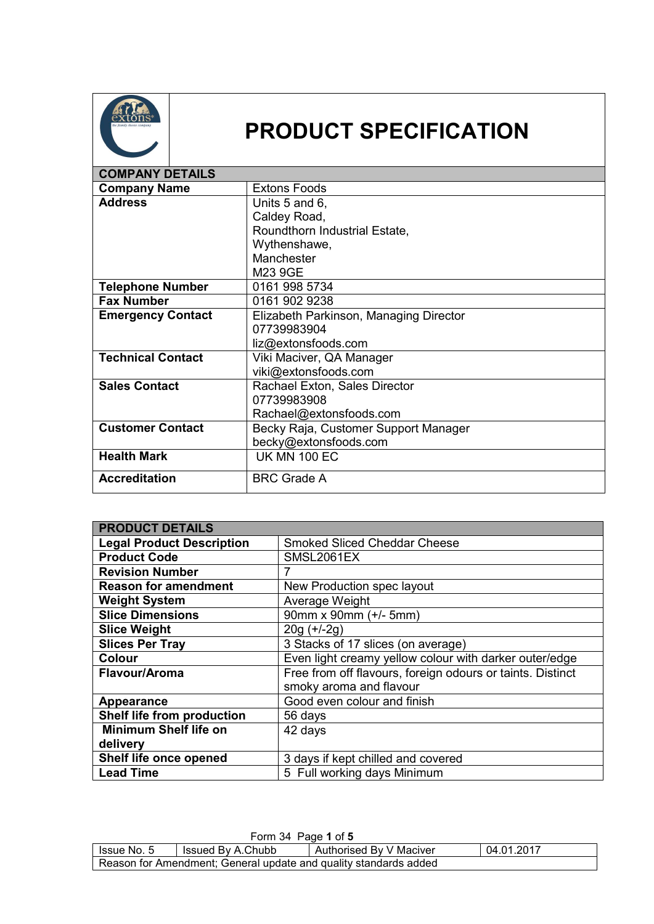

## **PRODUCT SPECIFICATION**

| <b>COMPANY DETAILS</b>   |                                        |
|--------------------------|----------------------------------------|
| <b>Company Name</b>      | <b>Extons Foods</b>                    |
| <b>Address</b>           | Units 5 and 6,                         |
|                          | Caldey Road,                           |
|                          | Roundthorn Industrial Estate,          |
|                          | Wythenshawe,                           |
|                          | Manchester                             |
|                          | M23 9GE                                |
| <b>Telephone Number</b>  | 0161 998 5734                          |
| <b>Fax Number</b>        | 0161 902 9238                          |
| <b>Emergency Contact</b> | Elizabeth Parkinson, Managing Director |
|                          | 07739983904                            |
|                          | liz@extonsfoods.com                    |
| <b>Technical Contact</b> | Viki Maciver, QA Manager               |
|                          | viki@extonsfoods.com                   |
| <b>Sales Contact</b>     | Rachael Exton, Sales Director          |
|                          | 07739983908                            |
|                          | Rachael@extonsfoods.com                |
| <b>Customer Contact</b>  | Becky Raja, Customer Support Manager   |
|                          | becky@extonsfoods.com                  |
| <b>Health Mark</b>       | <b>UK MN 100 EC</b>                    |
| <b>Accreditation</b>     | <b>BRC Grade A</b>                     |

| <b>PRODUCT DETAILS</b>           |                                                            |
|----------------------------------|------------------------------------------------------------|
| <b>Legal Product Description</b> | <b>Smoked Sliced Cheddar Cheese</b>                        |
| <b>Product Code</b>              | SMSL2061EX                                                 |
| <b>Revision Number</b>           | 7                                                          |
| <b>Reason for amendment</b>      | New Production spec layout                                 |
| <b>Weight System</b>             | Average Weight                                             |
| <b>Slice Dimensions</b>          | 90mm x 90mm (+/- 5mm)                                      |
| <b>Slice Weight</b>              | $20g (+/-2g)$                                              |
| <b>Slices Per Tray</b>           | 3 Stacks of 17 slices (on average)                         |
| <b>Colour</b>                    | Even light creamy yellow colour with darker outer/edge     |
| Flavour/Aroma                    | Free from off flavours, foreign odours or taints. Distinct |
|                                  | smoky aroma and flavour                                    |
| <b>Appearance</b>                | Good even colour and finish                                |
| Shelf life from production       | 56 days                                                    |
| <b>Minimum Shelf life on</b>     | 42 days                                                    |
| delivery                         |                                                            |
| Shelf life once opened           | 3 days if kept chilled and covered                         |
| <b>Lead Time</b>                 | 5 Full working days Minimum                                |

| Form 34 Page 1 of 5                                              |                   |                         |            |
|------------------------------------------------------------------|-------------------|-------------------------|------------|
| I Issue No. 5                                                    | Issued By A.Chubb | Authorised By V Maciver | 04.01.2017 |
| Reason for Amendment; General update and quality standards added |                   |                         |            |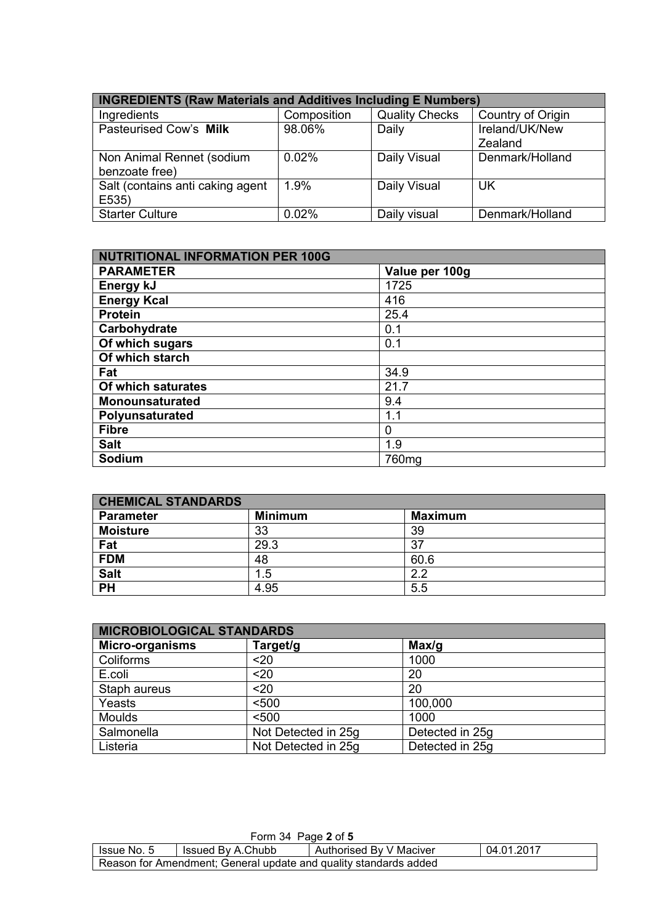| <b>INGREDIENTS (Raw Materials and Additives Including E Numbers)</b> |             |                       |                   |
|----------------------------------------------------------------------|-------------|-----------------------|-------------------|
| Ingredients                                                          | Composition | <b>Quality Checks</b> | Country of Origin |
| Pasteurised Cow's Milk                                               | 98.06%      | Daily                 | Ireland/UK/New    |
|                                                                      |             |                       | Zealand           |
| Non Animal Rennet (sodium<br>benzoate free)                          | 0.02%       | Daily Visual          | Denmark/Holland   |
| Salt (contains anti caking agent<br>E535)                            | 1.9%        | Daily Visual          | <b>UK</b>         |
| <b>Starter Culture</b>                                               | 0.02%       | Daily visual          | Denmark/Holland   |

| <b>NUTRITIONAL INFORMATION PER 100G</b> |                   |  |
|-----------------------------------------|-------------------|--|
| <b>PARAMETER</b>                        | Value per 100g    |  |
| Energy kJ                               | 1725              |  |
| <b>Energy Kcal</b>                      | 416               |  |
| <b>Protein</b>                          | 25.4              |  |
| Carbohydrate                            | 0.1               |  |
| Of which sugars                         | 0.1               |  |
| Of which starch                         |                   |  |
| Fat                                     | 34.9              |  |
| Of which saturates                      | 21.7              |  |
| <b>Monounsaturated</b>                  | 9.4               |  |
| Polyunsaturated                         | 1.1               |  |
| <b>Fibre</b>                            | 0                 |  |
| <b>Salt</b>                             | 1.9               |  |
| Sodium                                  | 760 <sub>mg</sub> |  |

| <b>CHEMICAL STANDARDS</b> |                |                |  |
|---------------------------|----------------|----------------|--|
| <b>Parameter</b>          | <b>Minimum</b> | <b>Maximum</b> |  |
| <b>Moisture</b>           | 33             | 39             |  |
| Fat                       | 29.3           | 37             |  |
| <b>FDM</b>                | 48             | 60.6           |  |
| <b>Salt</b>               | 1.5            | 22             |  |
| <b>PH</b>                 | 4.95           | 5.5            |  |

| <b>MICROBIOLOGICAL STANDARDS</b> |                     |                 |  |
|----------------------------------|---------------------|-----------------|--|
| <b>Micro-organisms</b>           | Target/g            | Max/g           |  |
| Coliforms                        | $20$                | 1000            |  |
| E.coli                           | $20$                | 20              |  |
| Staph aureus                     | $20$                | 20              |  |
| Yeasts                           | < 500               | 100,000         |  |
| <b>Moulds</b>                    | < 500               | 1000            |  |
| Salmonella                       | Not Detected in 25g | Detected in 25g |  |
| Listeria                         | Not Detected in 25g | Detected in 25g |  |

| Form 34 Page 2 of 5                                                       |  |  |  |
|---------------------------------------------------------------------------|--|--|--|
| 04.01.2017<br>Authorised By V Maciver<br>Issued By A.Chubb<br>Issue No. 5 |  |  |  |
| Reason for Amendment; General update and quality standards added          |  |  |  |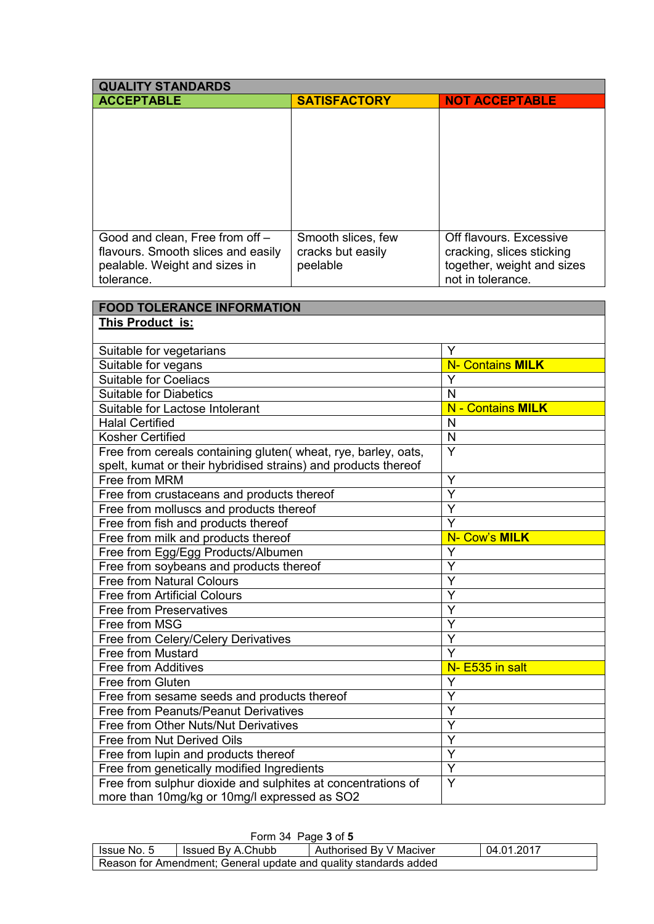| <b>QUALITY STANDARDS</b>                                       |                     |                            |  |
|----------------------------------------------------------------|---------------------|----------------------------|--|
| <b>ACCEPTABLE</b>                                              | <b>SATISFACTORY</b> | <b>NOT ACCEPTABLE</b>      |  |
|                                                                |                     |                            |  |
|                                                                |                     |                            |  |
|                                                                |                     |                            |  |
|                                                                |                     |                            |  |
|                                                                |                     |                            |  |
|                                                                |                     |                            |  |
|                                                                |                     |                            |  |
|                                                                |                     |                            |  |
| Good and clean, Free from off -                                | Smooth slices, few  | Off flavours. Excessive    |  |
| flavours. Smooth slices and easily                             | cracks but easily   | cracking, slices sticking  |  |
| pealable. Weight and sizes in                                  | peelable            | together, weight and sizes |  |
| tolerance.                                                     |                     | not in tolerance.          |  |
|                                                                |                     |                            |  |
| <b>FOOD TOLERANCE INFORMATION</b>                              |                     |                            |  |
| This Product is:                                               |                     |                            |  |
|                                                                |                     |                            |  |
| Suitable for vegetarians                                       |                     | Y                          |  |
| Suitable for vegans                                            |                     | <b>N- Contains MILK</b>    |  |
| <b>Suitable for Coeliacs</b>                                   |                     | Y                          |  |
| <b>Suitable for Diabetics</b>                                  |                     | N                          |  |
| Suitable for Lactose Intolerant                                |                     | <b>N</b> - Contains MILK   |  |
| <b>Halal Certified</b>                                         |                     | N                          |  |
| <b>Kosher Certified</b>                                        |                     | $\mathsf{N}$               |  |
| Free from cereals containing gluten(wheat, rye, barley, oats,  |                     | Y                          |  |
| spelt, kumat or their hybridised strains) and products thereof |                     |                            |  |
| Free from MRM                                                  |                     | Υ                          |  |
| Free from crustaceans and products thereof                     |                     | Y                          |  |
| Free from molluscs and products thereof                        | Y                   |                            |  |
| Free from fish and products thereof                            | Y                   |                            |  |
| Free from milk and products thereof                            | N- Cow's MILK       |                            |  |
| Free from Egg/Egg Products/Albumen                             | Y                   |                            |  |
| Free from soybeans and products thereof                        |                     | Y                          |  |
| <b>Free from Natural Colours</b>                               |                     | Υ                          |  |
| <b>Free from Artificial Colours</b>                            |                     | Ý                          |  |
| <b>Free from Preservatives</b>                                 |                     | Y                          |  |
| Free from MSG                                                  |                     | Y                          |  |
| Free from Celery/Celery Derivatives                            |                     | Y                          |  |
| Free from Mustard                                              | Ý                   |                            |  |
| Free from Additives                                            | N- E535 in salt     |                            |  |
| Free from Gluten                                               | Υ                   |                            |  |
| Free from sesame seeds and products thereof                    | Ý                   |                            |  |
| Free from Peanuts/Peanut Derivatives                           |                     | Y                          |  |
| Free from Other Nuts/Nut Derivatives                           |                     | Y                          |  |
| Free from Nut Derived Oils                                     |                     | Y                          |  |
| Free from lupin and products thereof                           |                     | Y                          |  |
| Free from genetically modified Ingredients                     |                     | Y                          |  |
| Free from sulphur dioxide and sulphites at concentrations of   |                     | Y                          |  |
| more than 10mg/kg or 10mg/l expressed as SO2                   |                     |                            |  |

| Form 34 Page 3 of 5                                              |                   |                         |            |
|------------------------------------------------------------------|-------------------|-------------------------|------------|
| Issue No. 5                                                      | Issued By A.Chubb | Authorised By V Maciver | 04.01.2017 |
| Reason for Amendment; General update and quality standards added |                   |                         |            |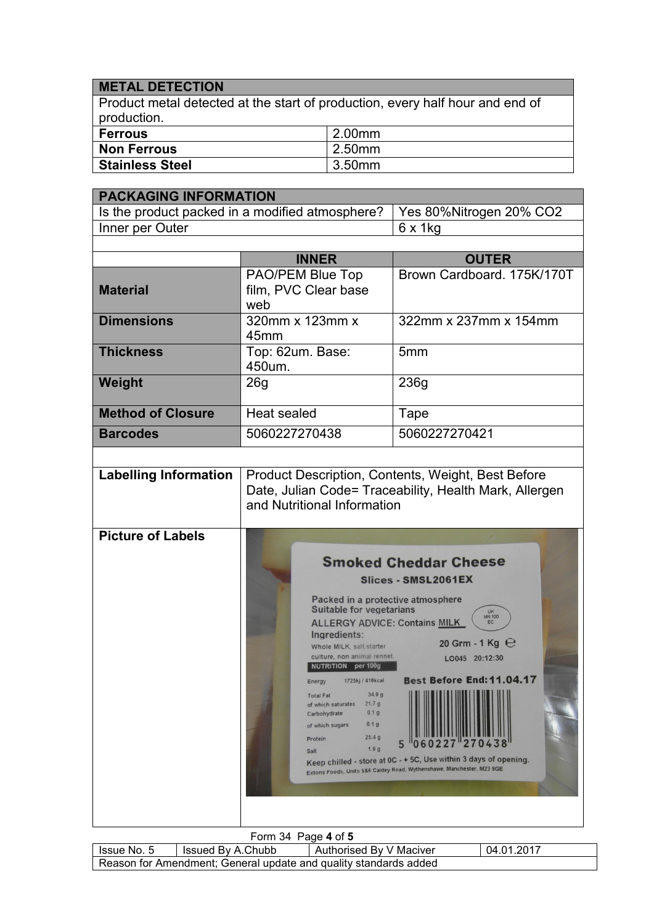## **METAL DETECTION**

Product metal detected at the start of production, every half hour and end of production.

| ∣ Ferrous              | 2.00mm |
|------------------------|--------|
| Non Ferrous            | 2.50mm |
| <b>Stainless Steel</b> | 3.50mm |

| <b>PACKAGING INFORMATION</b> |                                                                                                                                                                                                                                                                                                                                                                                                                                                    |                                                                                                                                                                                                                                                                                                               |  |
|------------------------------|----------------------------------------------------------------------------------------------------------------------------------------------------------------------------------------------------------------------------------------------------------------------------------------------------------------------------------------------------------------------------------------------------------------------------------------------------|---------------------------------------------------------------------------------------------------------------------------------------------------------------------------------------------------------------------------------------------------------------------------------------------------------------|--|
|                              | Is the product packed in a modified atmosphere?                                                                                                                                                                                                                                                                                                                                                                                                    |                                                                                                                                                                                                                                                                                                               |  |
| Inner per Outer              |                                                                                                                                                                                                                                                                                                                                                                                                                                                    | $6 \times 1$ kg                                                                                                                                                                                                                                                                                               |  |
|                              |                                                                                                                                                                                                                                                                                                                                                                                                                                                    |                                                                                                                                                                                                                                                                                                               |  |
|                              | <b>INNER</b>                                                                                                                                                                                                                                                                                                                                                                                                                                       | <b>OUTER</b>                                                                                                                                                                                                                                                                                                  |  |
| <b>Material</b>              | PAO/PEM Blue Top<br>film, PVC Clear base<br>web                                                                                                                                                                                                                                                                                                                                                                                                    | Brown Cardboard, 175K/170T                                                                                                                                                                                                                                                                                    |  |
| <b>Dimensions</b>            | 320mm x 123mm x<br>45mm                                                                                                                                                                                                                                                                                                                                                                                                                            | 322mm x 237mm x 154mm                                                                                                                                                                                                                                                                                         |  |
| <b>Thickness</b>             | Top: 62um. Base:<br>450um.                                                                                                                                                                                                                                                                                                                                                                                                                         | 5 <sub>mm</sub>                                                                                                                                                                                                                                                                                               |  |
| Weight                       | 26g                                                                                                                                                                                                                                                                                                                                                                                                                                                | 236g                                                                                                                                                                                                                                                                                                          |  |
| <b>Method of Closure</b>     | Heat sealed                                                                                                                                                                                                                                                                                                                                                                                                                                        | Tape                                                                                                                                                                                                                                                                                                          |  |
| <b>Barcodes</b>              | 5060227270438                                                                                                                                                                                                                                                                                                                                                                                                                                      | 5060227270421                                                                                                                                                                                                                                                                                                 |  |
|                              |                                                                                                                                                                                                                                                                                                                                                                                                                                                    |                                                                                                                                                                                                                                                                                                               |  |
| <b>Labelling Information</b> | and Nutritional Information                                                                                                                                                                                                                                                                                                                                                                                                                        | Product Description, Contents, Weight, Best Before<br>Date, Julian Code= Traceability, Health Mark, Allergen                                                                                                                                                                                                  |  |
| <b>Picture of Labels</b>     | Packed in a protective atmosphere<br><b>Suitable for vegetarians</b><br><b>ALLERGY ADVICE: Contains MILK</b><br>Ingredients:<br>Whole MILK, salt, starter<br>culture, non animal rennet.<br><b>NUTRITION</b> per 100g<br>1725kj / 416kcal<br><b>Energy</b><br>34.9g<br><b>Total Fat</b><br>21.7 g<br>of which saturates<br>0.1 <sub>g</sub><br>Carbohydrate<br>0.1 <sub>g</sub><br>of which sugars<br>25.4g<br>Protein<br>1.9 <sub>g</sub><br>Salt | <b>Smoked Cheddar Cheese</b><br>Slices - SMSL2061EX<br><b>UK</b><br>MN 100<br>EC<br>20 Grm - 1 Kg $\Theta$<br>LO045 20:12:30<br><b>Best Before End: 11.04.17</b><br>Keep chilled - store at 0C - + 5C, Use within 3 days of opening.<br>Extons Foods, Units 5&6 Caldey Road, Wythenshawe, Manchester, M23 9GE |  |

| Form 34 Page 4 of 5                                              |                   |                         |            |  |  |  |
|------------------------------------------------------------------|-------------------|-------------------------|------------|--|--|--|
| Issue No. 5                                                      | Issued By A.Chubb | Authorised By V Maciver | 04.01.2017 |  |  |  |
| Reason for Amendment; General update and quality standards added |                   |                         |            |  |  |  |

No. 2008 - Andrew Maria Maria Maria Maria Maria Maria Maria Maria Maria Maria Maria Maria Maria Maria Maria Ma